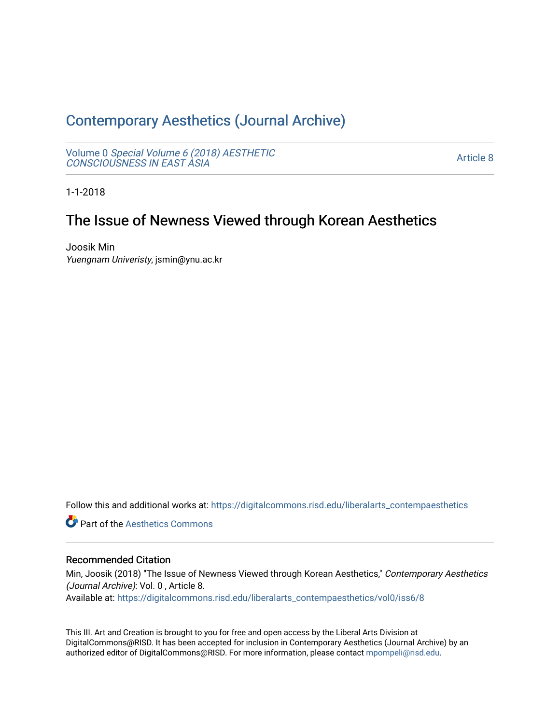# [Contemporary Aesthetics \(Journal Archive\)](https://digitalcommons.risd.edu/liberalarts_contempaesthetics)

Volume 0 [Special Volume 6 \(2018\) AESTHETIC](https://digitalcommons.risd.edu/liberalarts_contempaesthetics/vol0) [CONSCIOUSNESS IN EAST ASIA](https://digitalcommons.risd.edu/liberalarts_contempaesthetics/vol0)

[Article 8](https://digitalcommons.risd.edu/liberalarts_contempaesthetics/vol0/iss6/8) 

1-1-2018

# The Issue of Newness Viewed through Korean Aesthetics

Joosik Min Yuengnam Univeristy, jsmin@ynu.ac.kr

Follow this and additional works at: [https://digitalcommons.risd.edu/liberalarts\\_contempaesthetics](https://digitalcommons.risd.edu/liberalarts_contempaesthetics?utm_source=digitalcommons.risd.edu%2Fliberalarts_contempaesthetics%2Fvol0%2Fiss6%2F8&utm_medium=PDF&utm_campaign=PDFCoverPages) 

**C** Part of the Aesthetics Commons

### Recommended Citation

Min, Joosik (2018) "The Issue of Newness Viewed through Korean Aesthetics," Contemporary Aesthetics (Journal Archive): Vol. 0 , Article 8.

Available at: [https://digitalcommons.risd.edu/liberalarts\\_contempaesthetics/vol0/iss6/8](https://digitalcommons.risd.edu/liberalarts_contempaesthetics/vol0/iss6/8?utm_source=digitalcommons.risd.edu%2Fliberalarts_contempaesthetics%2Fvol0%2Fiss6%2F8&utm_medium=PDF&utm_campaign=PDFCoverPages)

This III. Art and Creation is brought to you for free and open access by the Liberal Arts Division at DigitalCommons@RISD. It has been accepted for inclusion in Contemporary Aesthetics (Journal Archive) by an authorized editor of DigitalCommons@RISD. For more information, please contact [mpompeli@risd.edu.](mailto:mpompeli@risd.edu)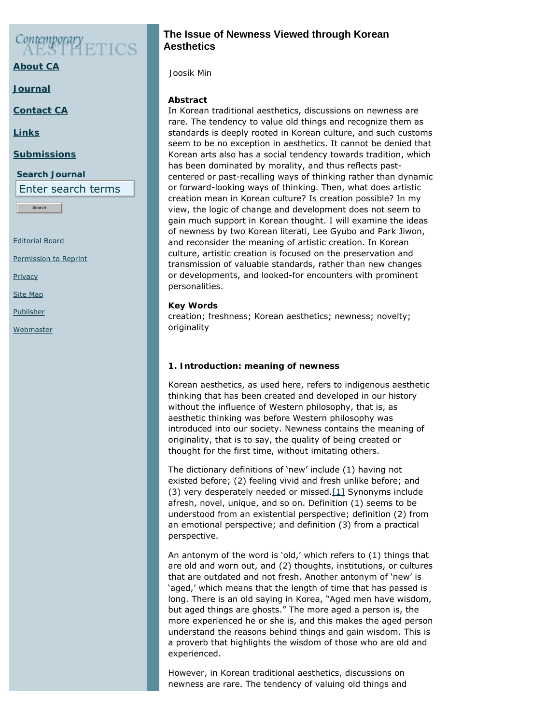# $\mathcal{C}$ ontemporary

**[About CA](https://www.contempaesthetics.org/pages/about.html)**

**[Journal](https://www.contempaesthetics.org/newvolume/pages/journal.php)**

**[Contact CA](https://www.contempaesthetics.org/pages/contact.html)**

**[Links](https://www.contempaesthetics.org/pages/links.html)**

## **[Submissions](https://www.contempaesthetics.org/pages/guidelines.html)**

**Search Journal**

Enter search terms

Search

[Editorial Board](https://www.contempaesthetics.org/pages/editorialboard.html)

[Permission to Reprint](https://www.contempaesthetics.org/pages/reprint.html)

**[Privacy](https://www.contempaesthetics.org/pages/privacy.html)** 

[Site Map](https://www.contempaesthetics.org/pages/sitemap.html)

**[Publisher](https://www.contempaesthetics.org/pages/publisher.html)** 

<span id="page-1-0"></span>**[Webmaster](mailto:webmaster@contempaesthetics.org)** 

# **The Issue of Newness Viewed through Korean Aesthetics**

 *Joosik Min*

# **Abstract**

In Korean traditional aesthetics, discussions on newness are rare. The tendency to value old things and recognize them as standards is deeply rooted in Korean culture, and such customs seem to be no exception in aesthetics. It cannot be denied that Korean arts also has a social tendency towards tradition, which has been dominated by morality, and thus reflects pastcentered or past-recalling ways of thinking rather than dynamic or forward-looking ways of thinking. Then, what does artistic creation mean in Korean culture? Is creation possible? In my view, the logic of change and development does not seem to gain much support in Korean thought. I will examine the ideas of newness by two Korean literati, Lee Gyubo and Park Jiwon, and reconsider the meaning of artistic creation. In Korean culture, artistic creation is focused on the preservation and transmission of valuable standards, rather than new changes or developments, and looked-for encounters with prominent personalities.

# **Key Words**

creation; freshness; Korean aesthetics; newness; novelty; originality

# **1. Introduction: meaning of newness**

Korean aesthetics, as used here, refers to indigenous aesthetic thinking that has been created and developed in our history without the influence of Western philosophy, that is, as aesthetic thinking was before Western philosophy was introduced into our society. Newness contains the meaning of originality, that is to say, the quality of being created or thought for the first time, without imitating others.

The dictionary definitions of 'new' include (1) having not existed before; (2) feeling vivid and fresh unlike before; and (3) very desperately needed or missed. $[1]$  Synonyms include afresh, novel, unique, and so on. Definition (1) seems to be understood from an existential perspective; definition (2) from an emotional perspective; and definition (3) from a practical perspective.

An antonym of the word is 'old,' which refers to (1) things that are old and worn out, and (2) thoughts, institutions, or cultures that are outdated and not fresh. Another antonym of 'new' is 'aged,' which means that the length of time that has passed is long. There is an old saying in Korea, "Aged men have wisdom, but aged things are ghosts." The more aged a person is, the more experienced he or she is, and this makes the aged person understand the reasons behind things and gain wisdom. This is a proverb that highlights the wisdom of those who are old and experienced.

However, in Korean traditional aesthetics, discussions on newness are rare. The tendency of valuing old things and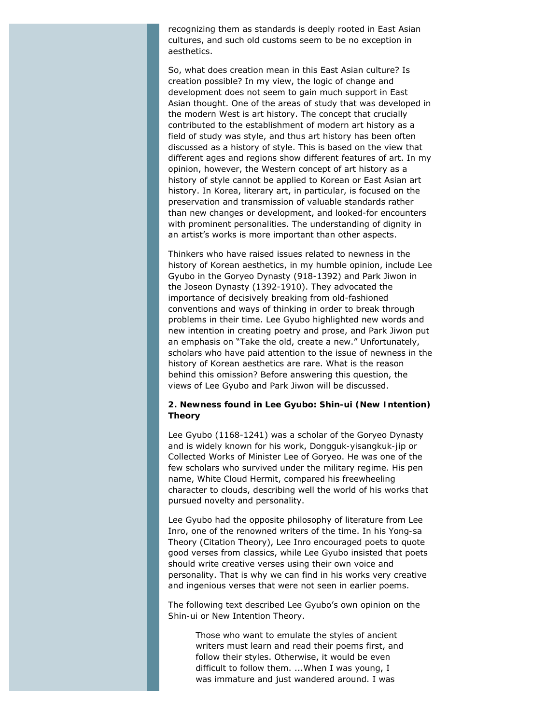recognizing them as standards is deeply rooted in East Asian cultures, and such old customs seem to be no exception in aesthetics.

So, what does creation mean in this East Asian culture? Is creation possible? In my view, the logic of change and development does not seem to gain much support in East Asian thought. One of the areas of study that was developed in the modern West is art history. The concept that crucially contributed to the establishment of modern art history as a field of study was style, and thus art history has been often discussed as a history of style. This is based on the view that different ages and regions show different features of art. In my opinion, however, the Western concept of art history as a history of style cannot be applied to Korean or East Asian art history. In Korea, literary art, in particular, is focused on the preservation and transmission of valuable standards rather than new changes or development, and looked-for encounters with prominent personalities. The understanding of dignity in an artist's works is more important than other aspects.

Thinkers who have raised issues related to newness in the history of Korean aesthetics, in my humble opinion, include Lee Gyubo in the Goryeo Dynasty (918-1392) and Park Jiwon in the Joseon Dynasty (1392-1910). They advocated the importance of decisively breaking from old-fashioned conventions and ways of thinking in order to break through problems in their time. Lee Gyubo highlighted new words and new intention in creating poetry and prose, and Park Jiwon put an emphasis on "Take the old, create a new." Unfortunately, scholars who have paid attention to the issue of newness in the history of Korean aesthetics are rare. What is the reason behind this omission? Before answering this question, the views of Lee Gyubo and Park Jiwon will be discussed.

#### **2. Newness found in Lee Gyubo:** *Shin-ui* **(New Intention) Theory**

Lee Gyubo (1168-1241) was a scholar of the Goryeo Dynasty and is widely known for his work, *Dongguk-yisangkuk-jip* or *Collected Works of Minister Lee of Goryeo*. He was one of the few scholars who survived under the military regime. His pen name, White Cloud Hermit, compared his freewheeling character to clouds, describing well the world of his works that pursued novelty and personality.

Lee Gyubo had the opposite philosophy of literature from Lee Inro, one of the renowned writers of the time. In his *Yong-sa* Theory (Citation Theory), Lee Inro encouraged poets to quote good verses from classics, while Lee Gyubo insisted that poets should write creative verses using their own voice and personality. That is why we can find in his works very creative and ingenious verses that were not seen in earlier poems.

The following text described Lee Gyubo's own opinion on the *Shin-ui* or New Intention Theory.

> Those who want to emulate the styles of ancient writers must learn and read their poems first, and follow their styles. Otherwise, it would be even difficult to follow them. ...When I was young, I was immature and just wandered around. I was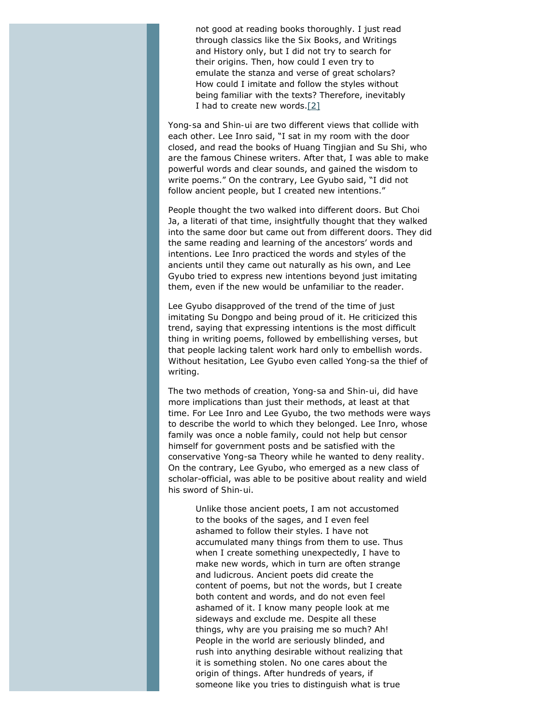not good at reading books thoroughly. I just read through classics like the *Six Books*, and *Writings and History* only, but I did not try to search for their origins. Then, how could I even try to emulate the stanza and verse of great scholars? How could I imitate and follow the styles without being familiar with the texts? Therefore, inevitably I had to create new words[.\[2\]](#page-12-1)

<span id="page-3-0"></span>*Yong-sa* and *Shin-ui* are two different views that collide with each other. Lee Inro said, "I sat in my room with the door closed, and read the books of Huang Tingjian and Su Shi, who are the famous Chinese writers. After that, I was able to make powerful words and clear sounds, and gained the wisdom to write poems." On the contrary, Lee Gyubo said, "I did not follow ancient people, but I created new intentions."

People thought the two walked into different doors. But Choi Ja, a literati of that time, insightfully thought that they walked into the same door but came out from different doors. They did the same reading and learning of the ancestors' words and intentions. Lee Inro practiced the words and styles of the ancients until they came out naturally as his own, and Lee Gyubo tried to express new intentions beyond just imitating them, even if the new would be unfamiliar to the reader.

Lee Gyubo disapproved of the trend of the time of just imitating Su Dongpo and being proud of it. He criticized this trend, saying that expressing intentions is the most difficult thing in writing poems, followed by embellishing verses, but that people lacking talent work hard only to embellish words. Without hesitation, Lee Gyubo even called *Yong-sa* the thief of writing.

The two methods of creation, *Yong-sa* and *Shin-ui*, did have more implications than just their methods, at least at that time. For Lee Inro and Lee Gyubo, the two methods were ways to describe the world to which they belonged. Lee Inro, whose family was once a noble family, could not help but censor himself for government posts and be satisfied with the conservative Yong-sa Theory while he wanted to deny reality. On the contrary, Lee Gyubo, who emerged as a new class of scholar-official, was able to be positive about reality and wield his sword of *Shin-ui*.

Unlike those ancient poets, I am not accustomed to the books of the sages, and I even feel ashamed to follow their styles. I have not accumulated many things from them to use. Thus when I create something unexpectedly, I have to make new words, which in turn are often strange and ludicrous. Ancient poets did create the content of poems, but not the words, but I create both content and words, and do not even feel ashamed of it. I know many people look at me sideways and exclude me. Despite all these things, why are you praising me so much? Ah! People in the world are seriously blinded, and rush into anything desirable without realizing that it is something stolen. No one cares about the origin of things. After hundreds of years, if someone like you tries to distinguish what is true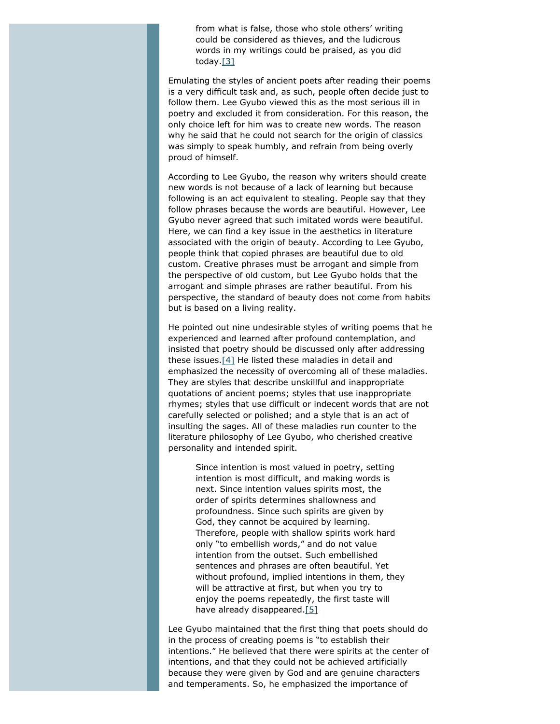from what is false, those who stole others' writing could be considered as thieves, and the ludicrous words in my writings could be praised, as you did today.[\[3\]](#page-12-2)

<span id="page-4-0"></span>Emulating the styles of ancient poets after reading their poems is a very difficult task and, as such, people often decide just to follow them. Lee Gyubo viewed this as the most serious ill in poetry and excluded it from consideration. For this reason, the only choice left for him was to create new words. The reason why he said that he could not search for the origin of classics was simply to speak humbly, and refrain from being overly proud of himself.

According to Lee Gyubo, the reason why writers should create new words is not because of a lack of learning but because following is an act equivalent to stealing. People say that they follow phrases because the words are beautiful. However, Lee Gyubo never agreed that such imitated words were beautiful. Here, we can find a key issue in the aesthetics in literature associated with the origin of beauty. According to Lee Gyubo, people think that copied phrases are beautiful due to old custom. Creative phrases must be arrogant and simple from the perspective of old custom, but Lee Gyubo holds that the arrogant and simple phrases are rather beautiful. From his perspective, the standard of beauty does not come from habits but is based on a living reality.

<span id="page-4-1"></span>He pointed out nine undesirable styles of writing poems that he experienced and learned after profound contemplation, and insisted that poetry should be discussed only after addressing these issues.[\[4\]](#page-12-3) He listed these maladies in detail and emphasized the necessity of overcoming all of these maladies. They are styles that describe unskillful and inappropriate quotations of ancient poems; styles that use inappropriate rhymes; styles that use difficult or indecent words that are not carefully selected or polished; and a style that is an act of insulting the sages. All of these maladies run counter to the literature philosophy of Lee Gyubo, who cherished creative personality and intended spirit.

Since intention is most valued in poetry, setting intention is most difficult, and making words is next. Since intention values spirits most, the order of spirits determines shallowness and profoundness. Since such spirits are given by God, they cannot be acquired by learning. Therefore, people with shallow spirits work hard only "to embellish words," and do not value intention from the outset. Such embellished sentences and phrases are often beautiful. Yet without profound, implied intentions in them, they will be attractive at first, but when you try to enjoy the poems repeatedly, the first taste will have already disappeared[.\[5\]](#page-12-4)

<span id="page-4-2"></span>Lee Gyubo maintained that the first thing that poets should do in the process of creating poems is "to establish their intentions." He believed that there were spirits at the center of intentions, and that they could not be achieved artificially because they were given by God and are genuine characters and temperaments. So, he emphasized the importance of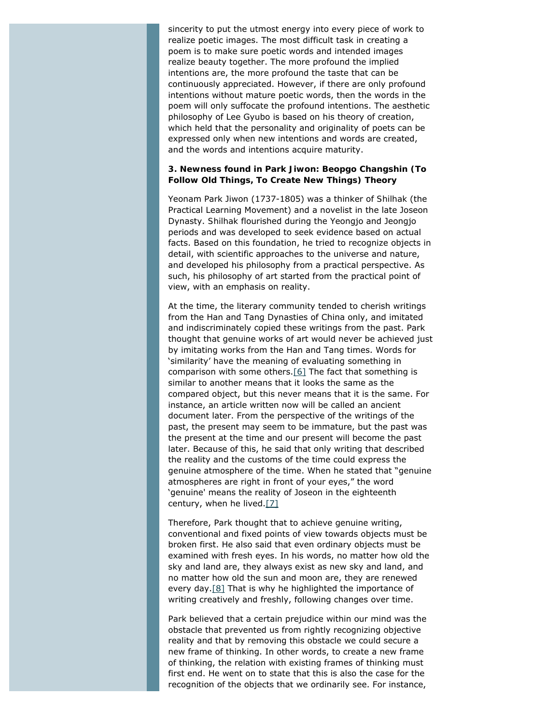sincerity to put the utmost energy into every piece of work to realize poetic images. The most difficult task in creating a poem is to make sure poetic words and intended images realize beauty together. The more profound the implied intentions are, the more profound the taste that can be continuously appreciated. However, if there are only profound intentions without mature poetic words, then the words in the poem will only suffocate the profound intentions. The aesthetic philosophy of Lee Gyubo is based on his theory of creation, which held that the personality and originality of poets can be expressed only when new intentions and words are created, and the words and intentions acquire maturity.

#### **3. Newness found in Park Jiwon: Beopgo Changshin (To Follow Old Things, To Create New Things) Theory**

Yeonam Park Jiwon (1737-1805) was a thinker of *Shilhak* (the Practical Learning Movement) and a novelist in the late Joseon Dynasty. *Shilhak* flourished during the Yeongjo and Jeongjo periods and was developed to seek evidence based on actual facts. Based on this foundation, he tried to recognize objects in detail, with scientific approaches to the universe and nature, and developed his philosophy from a practical perspective. As such, his philosophy of art started from the practical point of view, with an emphasis on reality.

<span id="page-5-0"></span>At the time, the literary community tended to cherish writings from the Han and Tang Dynasties of China only, and imitated and indiscriminately copied these writings from the past. Park thought that genuine works of art would never be achieved just by imitating works from the Han and Tang times. Words for 'similarity' have the meaning of evaluating something in comparison with some others.[\[6\]](#page-12-5) The fact that something is similar to another means that it looks the same as the compared object, but this never means that it is the same. For instance, an article written now will be called an ancient document later. From the perspective of the writings of the past, the present may seem to be immature, but the past was the present at the time and our present will become the past later. Because of this, he said that only writing that described the reality and the customs of the time could express the genuine atmosphere of the time. When he stated that "genuine atmospheres are right in front of your eyes," the word 'genuine' means the reality of Joseon in the eighteenth century, when he lived. $[7]$ 

<span id="page-5-1"></span>Therefore, Park thought that to achieve genuine writing, conventional and fixed points of view towards objects must be broken first. He also said that even ordinary objects must be examined with fresh eyes. In his words, no matter how old the sky and land are, they always exist as new sky and land, and no matter how old the sun and moon are, they are renewed every day[.\[8\]](#page-12-7) That is why he highlighted the importance of writing creatively and freshly, following changes over time.

<span id="page-5-2"></span>Park believed that a certain prejudice within our mind was the obstacle that prevented us from rightly recognizing objective reality and that by removing this obstacle we could secure a new frame of thinking. In other words, to create a new frame of thinking, the relation with existing frames of thinking must first end. He went on to state that this is also the case for the recognition of the objects that we ordinarily see. For instance,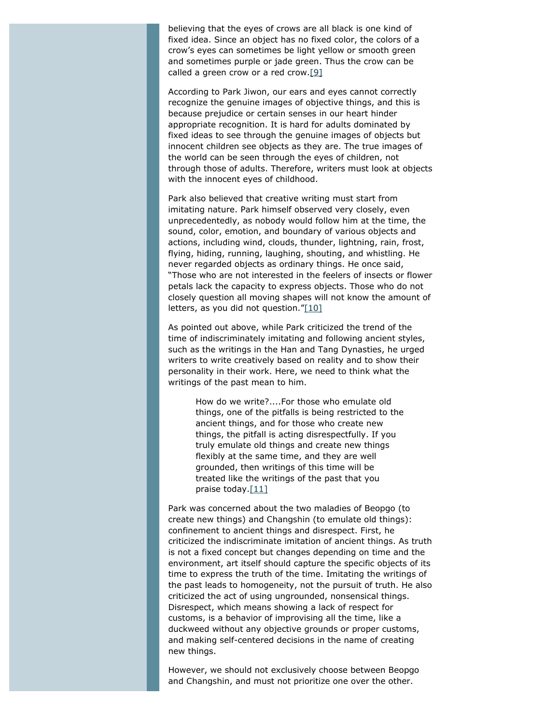believing that the eyes of crows are all black is one kind of fixed idea. Since an object has no fixed color, the colors of a crow's eyes can sometimes be light yellow or smooth green and sometimes purple or jade green. Thus the crow can be called a green crow or a red crow. $[9]$ 

<span id="page-6-0"></span>According to Park Jiwon, our ears and eyes cannot correctly recognize the genuine images of objective things, and this is because prejudice or certain senses in our heart hinder appropriate recognition. It is hard for adults dominated by fixed ideas to see through the genuine images of objects but innocent children see objects as they are. The true images of the world can be seen through the eyes of children, not through those of adults. Therefore, writers must look at objects with the innocent eyes of childhood.

Park also believed that creative writing must start from imitating nature. Park himself observed very closely, even unprecedentedly, as nobody would follow him at the time, the sound, color, emotion, and boundary of various objects and actions, including wind, clouds, thunder, lightning, rain, frost, flying, hiding, running, laughing, shouting, and whistling. He never regarded objects as ordinary things. He once said, "Those who are not interested in the feelers of insects or flower petals lack the capacity to express objects. Those who do not closely question all moving shapes will not know the amount of letters, as you did not question." $[10]$ 

<span id="page-6-1"></span>As pointed out above, while Park criticized the trend of the time of indiscriminately imitating and following ancient styles, such as the writings in the Han and Tang Dynasties, he urged writers to write creatively based on reality and to show their personality in their work. Here, we need to think what the writings of the past mean to him.

> How do we write?....For those who emulate old things, one of the pitfalls is being restricted to the ancient things, and for those who create new things, the pitfall is acting disrespectfully. If you truly emulate old things and create new things flexibly at the same time, and they are well grounded, then writings of this time will be treated like the writings of the past that you praise today. $[11]$

<span id="page-6-2"></span>Park was concerned about the two maladies of *Beopgo* (to create new things) and *Changshin* (to emulate old things): confinement to ancient things and disrespect. First, he criticized the indiscriminate imitation of ancient things. As truth is not a fixed concept but changes depending on time and the environment, art itself should capture the specific objects of its time to express the truth of the time. Imitating the writings of the past leads to homogeneity, not the pursuit of truth. He also criticized the act of using ungrounded, nonsensical things. Disrespect, which means showing a lack of respect for customs, is a behavior of improvising all the time, like a duckweed without any objective grounds or proper customs, and making self-centered decisions in the name of creating new things.

However, we should not exclusively choose between *Beopgo* and *Changshin*, and must not prioritize one over the other.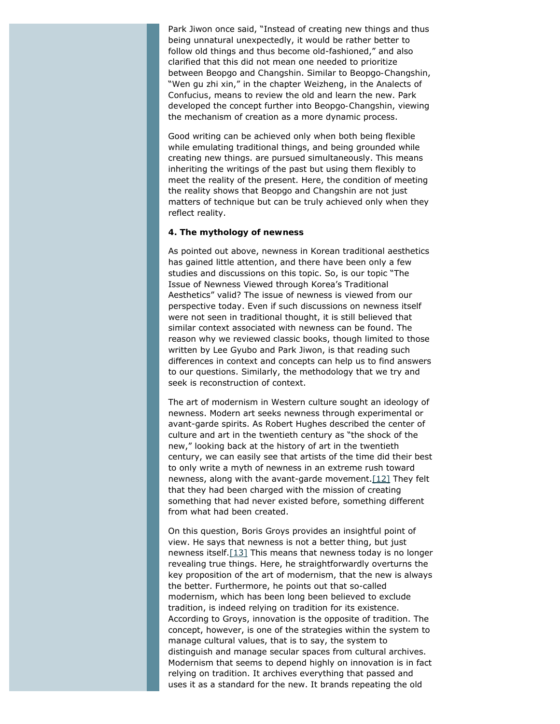Park Jiwon once said, "Instead of creating new things and thus being unnatural unexpectedly, it would be rather better to follow old things and thus become old-fashioned," and also clarified that this did not mean one needed to prioritize between *Beopgo* and *Changshin*. Similar to *Beopgo-Changshin*, "Wen gu zhi xin," in the chapter Weizheng, in the *Analects of Confucius*, means to review the old and learn the new. Park developed the concept further into *Beopgo-Changshin*, viewing the mechanism of creation as a more dynamic process.

Good writing can be achieved only when both being flexible while emulating traditional things, and being grounded while creating new things. are pursued simultaneously. This means inheriting the writings of the past but using them flexibly to meet the reality of the present. Here, the condition of meeting the reality shows that *Beopgo* and *Changshin* are not just matters of technique but can be truly achieved only when they reflect reality.

#### **4. The mythology of newness**

As pointed out above, newness in Korean traditional aesthetics has gained little attention, and there have been only a few studies and discussions on this topic. So, is our topic "The Issue of Newness Viewed through Korea's Traditional Aesthetics" valid? The issue of newness is viewed from our perspective today. Even if such discussions on newness itself were not seen in traditional thought, it is still believed that similar context associated with newness can be found. The reason why we reviewed classic books, though limited to those written by Lee Gyubo and Park Jiwon, is that reading such differences in context and concepts can help us to find answers to our questions. Similarly, the methodology that we try and seek is reconstruction of context.

The art of modernism in Western culture sought an ideology of newness. Modern art seeks newness through experimental or avant-garde spirits. As Robert Hughes described the center of culture and art in the twentieth century as "the shock of the new," looking back at the history of art in the twentieth century, we can easily see that artists of the time did their best to only write a myth of newness in an extreme rush toward newness, along with the avant-garde movement[.\[12\]](#page-12-11) They felt that they had been charged with the mission of creating something that had never existed before, something different from what had been created.

<span id="page-7-1"></span><span id="page-7-0"></span>On this question, Boris Groys provides an insightful point of view. He says that newness is not a better thing, but just newness itself[.\[13\]](#page-12-12) This means that newness today is no longer revealing true things. Here, he straightforwardly overturns the key proposition of the art of modernism, that the new is always the better. Furthermore, he points out that so-called modernism, which has been long been believed to exclude tradition, is indeed relying on tradition for its existence. According to Groys, innovation is the opposite of tradition. The concept, however, is one of the strategies within the system to manage cultural values, that is to say, the system to distinguish and manage secular spaces from cultural archives. Modernism that seems to depend highly on innovation is in fact relying on tradition. It archives everything that passed and uses it as a standard for the new. It brands repeating the old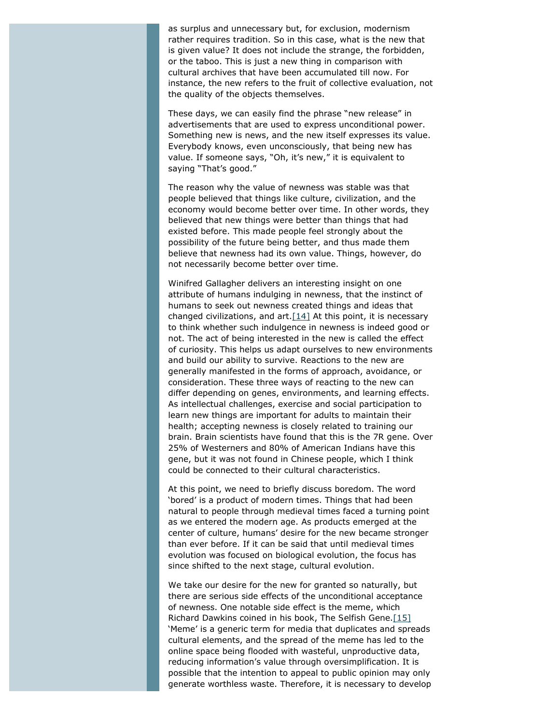as surplus and unnecessary but, for exclusion, modernism rather requires tradition. So in this case, what is the new that is given value? It does not include the strange, the forbidden, or the taboo. This is just a new thing in comparison with cultural archives that have been accumulated till now. For instance, the new refers to the fruit of collective evaluation, not the quality of the objects themselves.

These days, we can easily find the phrase "new release" in advertisements that are used to express unconditional power. Something new is news, and the new itself expresses its value. Everybody knows, even unconsciously, that being new has value. If someone says, "Oh, it's new," it is equivalent to saying "That's good."

The reason why the value of newness was stable was that people believed that things like culture, civilization, and the economy would become better over time. In other words, they believed that new things were better than things that had existed before. This made people feel strongly about the possibility of the future being better, and thus made them believe that newness had its own value. Things, however, do not necessarily become better over time.

<span id="page-8-0"></span>Winifred Gallagher delivers an interesting insight on one attribute of humans indulging in newness, that the instinct of humans to seek out newness created things and ideas that changed civilizations, and art. $[14]$  At this point, it is necessary to think whether such indulgence in newness is indeed good or not. The act of being interested in the new is called the effect of curiosity. This helps us adapt ourselves to new environments and build our ability to survive. Reactions to the new are generally manifested in the forms of approach, avoidance, or consideration. These three ways of reacting to the new can differ depending on genes, environments, and learning effects. As intellectual challenges, exercise and social participation to learn new things are important for adults to maintain their health; accepting newness is closely related to training our brain. Brain scientists have found that this is the 7R gene. Over 25% of Westerners and 80% of American Indians have this gene, but it was not found in Chinese people, which I think could be connected to their cultural characteristics.

At this point, we need to briefly discuss boredom. The word 'bored' is a product of modern times. Things that had been natural to people through medieval times faced a turning point as we entered the modern age. As products emerged at the center of culture, humans' desire for the new became stronger than ever before. If it can be said that until medieval times evolution was focused on biological evolution, the focus has since shifted to the next stage, cultural evolution.

<span id="page-8-1"></span>We take our desire for the new for granted so naturally, but there are serious side effects of the unconditional acceptance of newness. One notable side effect is the meme, which Richard Dawkins coined in his book, *The Selfish Gene*[.\[15\]](#page-13-0) 'Meme' is a generic term for media that duplicates and spreads cultural elements, and the spread of the meme has led to the online space being flooded with wasteful, unproductive data, reducing information's value through oversimplification. It is possible that the intention to appeal to public opinion may only generate worthless waste. Therefore, it is necessary to develop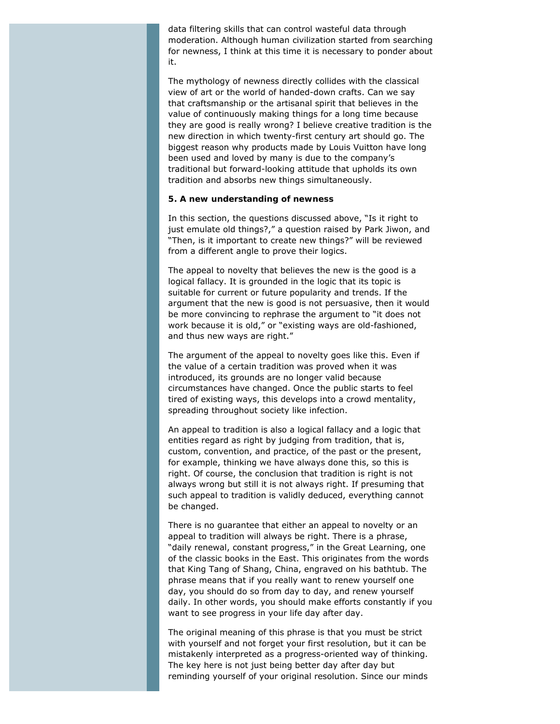data filtering skills that can control wasteful data through moderation. Although human civilization started from searching for newness, I think at this time it is necessary to ponder about it.

The mythology of newness directly collides with the classical view of art or the world of handed-down crafts. Can we say that craftsmanship or the artisanal spirit that believes in the value of continuously making things for a long time because they are good is really wrong? I believe creative tradition is the new direction in which twenty-first century art should go. The biggest reason why products made by Louis Vuitton have long been used and loved by many is due to the company's traditional but forward-looking attitude that upholds its own tradition and absorbs new things simultaneously.

#### **5. A new understanding of newness**

In this section, the questions discussed above, "Is it right to just emulate old things?," a question raised by Park Jiwon, and "Then, is it important to create new things?" will be reviewed from a different angle to prove their logics.

The appeal to novelty that believes the new is the good is a logical fallacy. It is grounded in the logic that its topic is suitable for current or future popularity and trends. If the argument that the new is good is not persuasive, then it would be more convincing to rephrase the argument to "it does not work because it is old," or "existing ways are old-fashioned, and thus new ways are right."

The argument of the appeal to novelty goes like this. Even if the value of a certain tradition was proved when it was introduced, its grounds are no longer valid because circumstances have changed. Once the public starts to feel tired of existing ways, this develops into a crowd mentality, spreading throughout society like infection.

An appeal to tradition is also a logical fallacy and a logic that entities regard as right by judging from tradition, that is, custom, convention, and practice, of the past or the present, for example, thinking we have always done this, so this is right. Of course, the conclusion that tradition is right is not always wrong but still it is not always right. If presuming that such appeal to tradition is validly deduced, everything cannot be changed.

There is no guarantee that either an appeal to novelty or an appeal to tradition will always be right. There is a phrase, "daily renewal, constant progress," in the *Great Learning*, one of the classic books in the East. This originates from the words that King Tang of Shang, China, engraved on his bathtub. The phrase means that if you really want to renew yourself one day, you should do so from day to day, and renew yourself daily. In other words, you should make efforts constantly if you want to see progress in your life day after day.

The original meaning of this phrase is that you must be strict with yourself and not forget your first resolution, but it can be mistakenly interpreted as a progress-oriented way of thinking. The key here is not just being better day after day but reminding yourself of your original resolution. Since our minds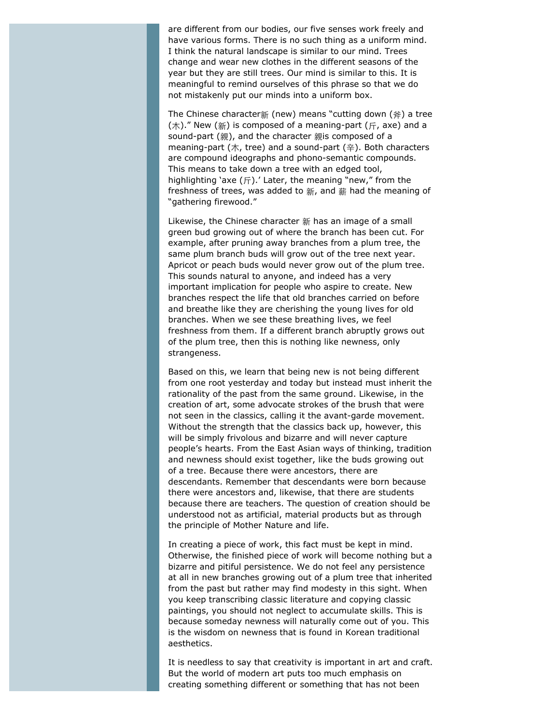are different from our bodies, our five senses work freely and have various forms. There is no such thing as a uniform mind. I think the natural landscape is similar to our mind. Trees change and wear new clothes in the different seasons of the year but they are still trees. Our mind is similar to this. It is meaningful to remind ourselves of this phrase so that we do not mistakenly put our minds into a uniform box.

The Chinese character新 (new) means "cutting down (斧) a tree  $(\pi)$ ." New  $(\widetilde{\pi})$  is composed of a meaning-part  $(\pi)$ , axe) and a sound-part (親), and the character 親is composed of a meaning-part (木, tree) and a sound-part (辛). Both characters are compound ideographs and phono-semantic compounds. This means to take down a tree with an edged tool, highlighting 'axe  $(F)$ .' Later, the meaning "new," from the freshness of trees, was added to 新, and 薪 had the meaning of "gathering firewood."

Likewise, the Chinese character 新 has an image of a small green bud growing out of where the branch has been cut. For example, after pruning away branches from a plum tree, the same plum branch buds will grow out of the tree next year. Apricot or peach buds would never grow out of the plum tree. This sounds natural to anyone, and indeed has a very important implication for people who aspire to create. New branches respect the life that old branches carried on before and breathe like they are cherishing the young lives for old branches. When we see these breathing lives, we feel freshness from them. If a different branch abruptly grows out of the plum tree, then this is nothing like newness, only strangeness.

Based on this, we learn that being new is not being different from one root yesterday and today but instead must inherit the rationality of the past from the same ground. Likewise, in the creation of art, some advocate strokes of the brush that were not seen in the classics, calling it the avant-garde movement. Without the strength that the classics back up, however, this will be simply frivolous and bizarre and will never capture people's hearts. From the East Asian ways of thinking, tradition and newness should exist together, like the buds growing out of a tree. Because there were ancestors, there are descendants. Remember that descendants were born because there were ancestors and, likewise, that there are students because there are teachers. The question of creation should be understood not as artificial, material products but as through the principle of Mother Nature and life.

In creating a piece of work, this fact must be kept in mind. Otherwise, the finished piece of work will become nothing but a bizarre and pitiful persistence. We do not feel any persistence at all in new branches growing out of a plum tree that inherited from the past but rather may find modesty in this sight. When you keep transcribing classic literature and copying classic paintings, you should not neglect to accumulate skills. This is because someday newness will naturally come out of you. This is the wisdom on newness that is found in Korean traditional aesthetics.

It is needless to say that creativity is important in art and craft. But the world of modern art puts too much emphasis on creating something different or something that has not been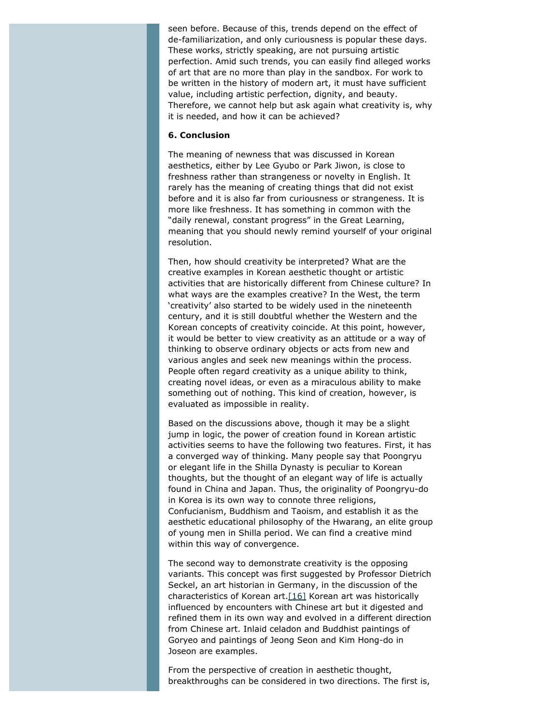seen before. Because of this, trends depend on the effect of de-familiarization, and only curiousness is popular these days. These works, strictly speaking, are not pursuing artistic perfection. Amid such trends, you can easily find alleged works of art that are no more than play in the sandbox. For work to be written in the history of modern art, it must have sufficient value, including artistic perfection, dignity, and beauty. Therefore, we cannot help but ask again what creativity is, why it is needed, and how it can be achieved?

#### **6. Conclusion**

The meaning of newness that was discussed in Korean aesthetics, either by Lee Gyubo or Park Jiwon, is close to freshness rather than strangeness or novelty in English. It rarely has the meaning of creating things that did not exist before and it is also far from curiousness or strangeness. It is more like freshness. It has something in common with the "daily renewal, constant progress" in the *Great Learning*, meaning that you should newly remind yourself of your original resolution.

Then, how should creativity be interpreted? What are the creative examples in Korean aesthetic thought or artistic activities that are historically different from Chinese culture? In what ways are the examples creative? In the West, the term 'creativity' also started to be widely used in the nineteenth century, and it is still doubtful whether the Western and the Korean concepts of creativity coincide. At this point, however, it would be better to view creativity as an attitude or a way of thinking to observe ordinary objects or acts from new and various angles and seek new meanings within the process. People often regard creativity as a unique ability to think, creating novel ideas, or even as a miraculous ability to make something out of nothing. This kind of creation, however, is evaluated as impossible in reality.

Based on the discussions above, though it may be a slight jump in logic, the power of creation found in Korean artistic activities seems to have the following two features. First, it has a converged way of thinking. Many people say that Poongryu or elegant life in the Shilla Dynasty is peculiar to Korean thoughts, but the thought of an elegant way of life is actually found in China and Japan. Thus, the originality of Poongryu-do in Korea is its own way to connote three religions, Confucianism, Buddhism and Taoism, and establish it as the aesthetic educational philosophy of the Hwarang, an elite group of young men in Shilla period. We can find a creative mind within this way of convergence.

<span id="page-11-0"></span>The second way to demonstrate creativity is the opposing variants. This concept was first suggested by Professor Dietrich Seckel, an art historian in Germany, in the discussion of the characteristics of Korean art[.\[16\]](#page-13-1) Korean art was historically influenced by encounters with Chinese art but it digested and refined them in its own way and evolved in a different direction from Chinese art. Inlaid celadon and Buddhist paintings of Goryeo and paintings of Jeong Seon and Kim Hong-do in Joseon are examples.

From the perspective of creation in aesthetic thought, breakthroughs can be considered in two directions. The first is,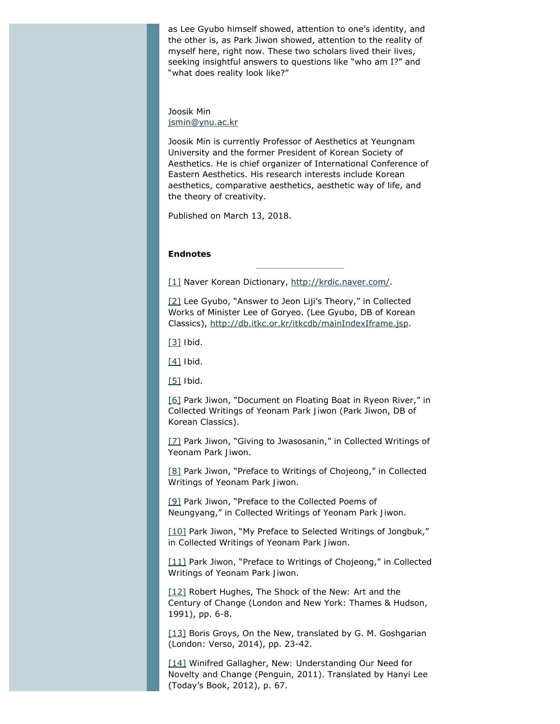as Lee Gyubo himself showed, attention to one's identity, and the other is, as Park Jiwon showed, attention to the reality of myself here, right now. These two scholars lived their lives, seeking insightful answers to questions like "who am I?" and "what does reality look like?"

Joosik Min [jsmin@ynu.ac.kr](mailto:jsmin@ynu.ac.kr)

Joosik Min is currently Professor of Aesthetics at Yeungnam University and the former President of Korean Society of Aesthetics. He is chief organizer of International Conference of Eastern Aesthetics. His research interests include Korean aesthetics, comparative aesthetics, aesthetic way of life, and the theory of creativity.

Published on March 13, 2018.

#### **Endnotes**

<span id="page-12-0"></span>[\[1\]](#page-1-0) Naver Korean Dictionary,<http://krdic.naver.com/>.

<span id="page-12-1"></span>[\[2\]](#page-3-0) Lee Gyubo, "Answer to Jeon Liji's Theory," in *Collected Works of Minister Lee of Goryeo*. (Lee Gyubo, DB of Korean Classics), <http://db.itkc.or.kr/itkcdb/mainIndexIframe.jsp>.

<span id="page-12-2"></span>[\[3\]](#page-4-0) *Ibid*.

<span id="page-12-3"></span>[\[4\]](#page-4-1) *Ibid*.

<span id="page-12-4"></span>[\[5\]](#page-4-2) *Ibid*.

<span id="page-12-5"></span>[\[6\]](#page-5-0) Park Jiwon, "Document on Floating Boat in Ryeon River," in *Collected Writings of Yeonam Park Jiwon* (Park Jiwon, DB of Korean Classics).

<span id="page-12-6"></span>[\[7\]](#page-5-1) Park Jiwon, "Giving to Jwasosanin," in *Collected Writings of Yeonam Park Jiwon*.

<span id="page-12-7"></span>[\[8\]](#page-5-2) Park Jiwon, "Preface to Writings of Chojeong," in *Collected Writings of Yeonam Park Jiwon*.

<span id="page-12-8"></span>[\[9\]](#page-6-0) Park Jiwon, "Preface to the Collected Poems of Neungyang," in *Collected Writings of Yeonam Park Jiwon*.

<span id="page-12-9"></span>[\[10\]](#page-6-1) Park Jiwon, "My Preface to Selected Writings of Jongbuk," in *Collected Writings of Yeonam Park Jiwon*.

<span id="page-12-10"></span>[\[11\]](#page-6-2) Park Jiwon, "Preface to Writings of Chojeong," in *Collected Writings of Yeonam Park Jiwon*.

<span id="page-12-11"></span>[\[12\]](#page-7-0) Robert Hughes, *The Shock of the New: Art and the Century of Change* (London and New York: Thames & Hudson, 1991), pp. 6-8.

<span id="page-12-12"></span>[\[13\]](#page-7-1) Boris Groys, *On the New*, translated by G. M. Goshgarian (London: Verso, 2014), pp. 23-42.

<span id="page-12-13"></span>[\[14\]](#page-8-0) Winifred Gallagher, *New: Understanding Our Need for Novelty and Change* (Penguin, 2011). Translated by Hanyi Lee (Today's Book, 2012), p. 67.